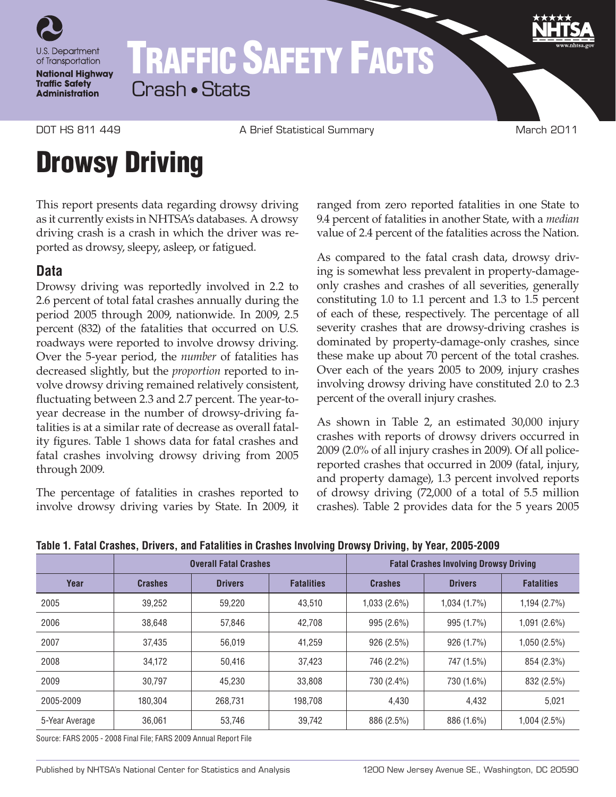

## TRAFFIC SAFETY FACTS Crash • Stats

DOT HS 811 449 **A Brief Statistical Summary A Brief Statistical Summary** March 2011

# Drowsy Driving

This report presents data regarding drowsy driving as it currently exists in NHTSA's databases. A drowsy driving crash is a crash in which the driver was reported as drowsy, sleepy, asleep, or fatigued.

## **Data**

Drowsy driving was reportedly involved in 2.2 to 2.6 percent of total fatal crashes annually during the period 2005 through 2009, nationwide. In 2009, 2.5 percent (832) of the fatalities that occurred on U.S. roadways were reported to involve drowsy driving. Over the 5-year period, the *number* of fatalities has decreased slightly, but the *proportion* reported to involve drowsy driving remained relatively consistent, fluctuating between 2.3 and 2.7 percent. The year-toyear decrease in the number of drowsy-driving fatalities is at a similar rate of decrease as overall fatality figures. Table 1 shows data for fatal crashes and fatal crashes involving drowsy driving from 2005 through 2009.

The percentage of fatalities in crashes reported to involve drowsy driving varies by State. In 2009, it ranged from zero reported fatalities in one State to 9.4 percent of fatalities in another State, with a *median* value of 2.4 percent of the fatalities across the Nation.

As compared to the fatal crash data, drowsy driving is somewhat less prevalent in property-damageonly crashes and crashes of all severities, generally constituting 1.0 to 1.1 percent and 1.3 to 1.5 percent of each of these, respectively. The percentage of all severity crashes that are drowsy-driving crashes is dominated by property-damage-only crashes, since these make up about 70 percent of the total crashes. Over each of the years 2005 to 2009, injury crashes involving drowsy driving have constituted 2.0 to 2.3 percent of the overall injury crashes.

As shown in Table 2, an estimated 30,000 injury crashes with reports of drowsy drivers occurred in 2009 (2.0% of all injury crashes in 2009). Of all policereported crashes that occurred in 2009 (fatal, injury, and property damage), 1.3 percent involved reports of drowsy driving (72,000 of a total of 5.5 million crashes). Table 2 provides data for the 5 years 2005

|                | <b>Overall Fatal Crashes</b> |                |                   | <b>Fatal Crashes Involving Drowsy Driving</b> |                |                   |
|----------------|------------------------------|----------------|-------------------|-----------------------------------------------|----------------|-------------------|
| Year           | <b>Crashes</b>               | <b>Drivers</b> | <b>Fatalities</b> | <b>Crashes</b>                                | <b>Drivers</b> | <b>Fatalities</b> |
| 2005           | 39,252                       | 59,220         | 43,510            | $1,033(2.6\%)$                                | 1,034(1.7%)    | 1,194 (2.7%)      |
| 2006           | 38.648                       | 57,846         | 42,708            | 995 (2.6%)                                    | 995 (1.7%)     | 1,091 (2.6%)      |
| 2007           | 37,435                       | 56,019         | 41,259            | 926 (2.5%)                                    | 926 (1.7%)     | 1,050 (2.5%)      |
| 2008           | 34,172                       | 50,416         | 37,423            | 746 (2.2%)                                    | 747 (1.5%)     | 854 (2.3%)        |
| 2009           | 30.797                       | 45.230         | 33,808            | 730 (2.4%)                                    | 730 (1.6%)     | 832 (2.5%)        |
| 2005-2009      | 180.304                      | 268,731        | 198.708           | 4,430                                         | 4,432          | 5,021             |
| 5-Year Average | 36.061                       | 53,746         | 39,742            | 886 (2.5%)                                    | 886 (1.6%)     | 1,004 (2.5%)      |

**Table 1. Fatal Crashes, Drivers, and Fatalities in Crashes Involving Drowsy Driving, by Year, 2005-2009**

Source: FARS 2005 - 2008 Final File; FARS 2009 Annual Report File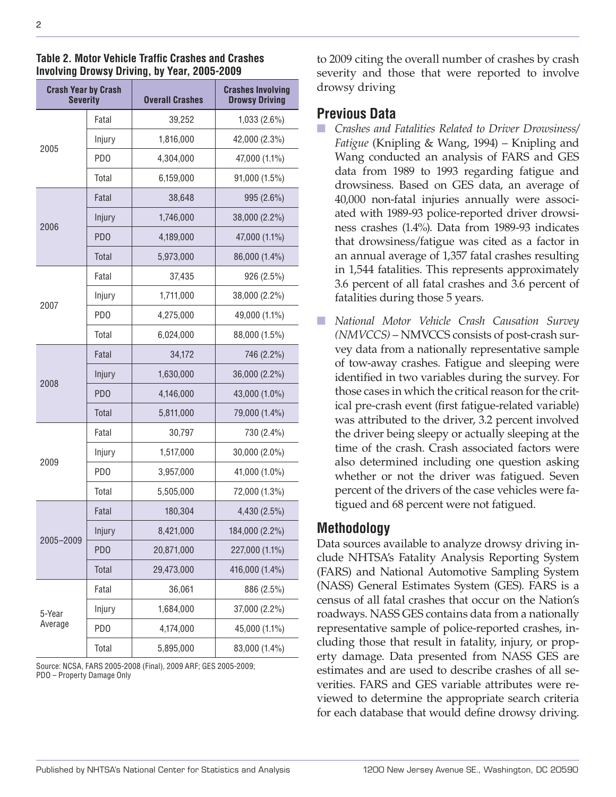| <b>Crash Year by Crash</b><br><b>Severity</b> |                  | <b>Overall Crashes</b> | <b>Crashes Involving</b><br><b>Drowsy Driving</b> |  |
|-----------------------------------------------|------------------|------------------------|---------------------------------------------------|--|
|                                               | Fatal            | 39,252                 | 1,033 (2.6%)                                      |  |
| 2005                                          | Injury           | 1,816,000              | 42,000 (2.3%)                                     |  |
|                                               | PD <sub>0</sub>  | 4,304,000              | 47,000 (1.1%)                                     |  |
|                                               | Total            | 6,159,000              | 91,000 (1.5%)                                     |  |
| 2006                                          | Fatal            | 38,648                 | 995 (2.6%)                                        |  |
|                                               | Injury           | 1,746,000              | 38,000 (2.2%)                                     |  |
|                                               | P <sub>D</sub> O | 4,189,000              | 47,000 (1.1%)                                     |  |
|                                               | Total            | 5,973,000              | 86,000 (1.4%)                                     |  |
| 2007                                          | Fatal            | 37,435                 | 926 (2.5%)                                        |  |
|                                               | Injury           | 1,711,000              | 38,000 (2.2%)                                     |  |
|                                               | PD <sub>0</sub>  | 4,275,000              | 49,000 (1.1%)                                     |  |
|                                               | Total            | 6,024,000              | 88,000 (1.5%)                                     |  |
|                                               | Fatal            | 34,172                 | 746 (2.2%)                                        |  |
| 2008                                          | Injury           | 1,630,000              | 36,000 (2.2%)                                     |  |
|                                               | P <sub>D</sub> O | 4,146,000              | 43,000 (1.0%)                                     |  |
|                                               | <b>Total</b>     | 5,811,000              | 79,000 (1.4%)                                     |  |
|                                               | Fatal            | 30,797                 | 730 (2.4%)                                        |  |
| 2009                                          | Injury           | 1,517,000              | 30,000 (2.0%)                                     |  |
|                                               | P <sub>D</sub> O | 3,957,000              | 41,000 (1.0%)                                     |  |
|                                               | Total            | 5,505,000              | 72,000 (1.3%)                                     |  |
|                                               | Fatal            | 180,304                | 4,430 (2.5%)                                      |  |
|                                               | Injury           | 8,421,000              | 184,000 (2.2%)                                    |  |
| 2005-2009                                     | P <sub>D</sub> O | 20,871,000             | 227,000 (1.1%)                                    |  |
|                                               | Total            | 29,473,000             | 416,000 (1.4%)                                    |  |
|                                               | Fatal            | 36,061                 | 886 (2.5%)                                        |  |
| 5-Year                                        | Injury           | 1,684,000              | 37,000 (2.2%)                                     |  |
| Average                                       | PD <sub>0</sub>  | 4,174,000              | 45,000 (1.1%)                                     |  |
|                                               | Total            | 5,895,000              | 83,000 (1.4%)                                     |  |

#### **Table 2. Motor Vehicle Traffic Crashes and Crashes Involving Drowsy Driving, by Year, 2005-2009**

Source: NCSA, FARS 2005-2008 (Final), 2009 ARF; GES 2005-2009; PDO – Property Damage Only

to 2009 citing the overall number of crashes by crash severity and those that were reported to involve drowsy driving

### **Previous Data**

- n *Crashes and Fatalities Related to Driver Drowsiness/ Fatigue* (Knipling & Wang, 1994) – Knipling and Wang conducted an analysis of FARS and GES data from 1989 to 1993 regarding fatigue and drowsiness. Based on GES data, an average of 40,000 non-fatal injuries annually were associated with 1989-93 police-reported driver drowsiness crashes (1.4%). Data from 1989-93 indicates that drowsiness/fatigue was cited as a factor in an annual average of 1,357 fatal crashes resulting in 1,544 fatalities. This represents approximately 3.6 percent of all fatal crashes and 3.6 percent of fatalities during those 5 years.
- n *National Motor Vehicle Crash Causation Survey (NMVCCS)* – NMVCCS consists of post-crash survey data from a nationally representative sample of tow-away crashes. Fatigue and sleeping were identified in two variables during the survey. For those cases in which the critical reason for the critical pre-crash event (first fatigue-related variable) was attributed to the driver, 3.2 percent involved the driver being sleepy or actually sleeping at the time of the crash. Crash associated factors were also determined including one question asking whether or not the driver was fatigued. Seven percent of the drivers of the case vehicles were fatigued and 68 percent were not fatigued.

## **Methodology**

Data sources available to analyze drowsy driving include NHTSA's Fatality Analysis Reporting System (FARS) and National Automotive Sampling System (NASS) General Estimates System (GES). FARS is a census of all fatal crashes that occur on the Nation's roadways. NASS GES contains data from a nationally representative sample of police-reported crashes, including those that result in fatality, injury, or property damage. Data presented from NASS GES are estimates and are used to describe crashes of all severities. FARS and GES variable attributes were reviewed to determine the appropriate search criteria for each database that would define drowsy driving.